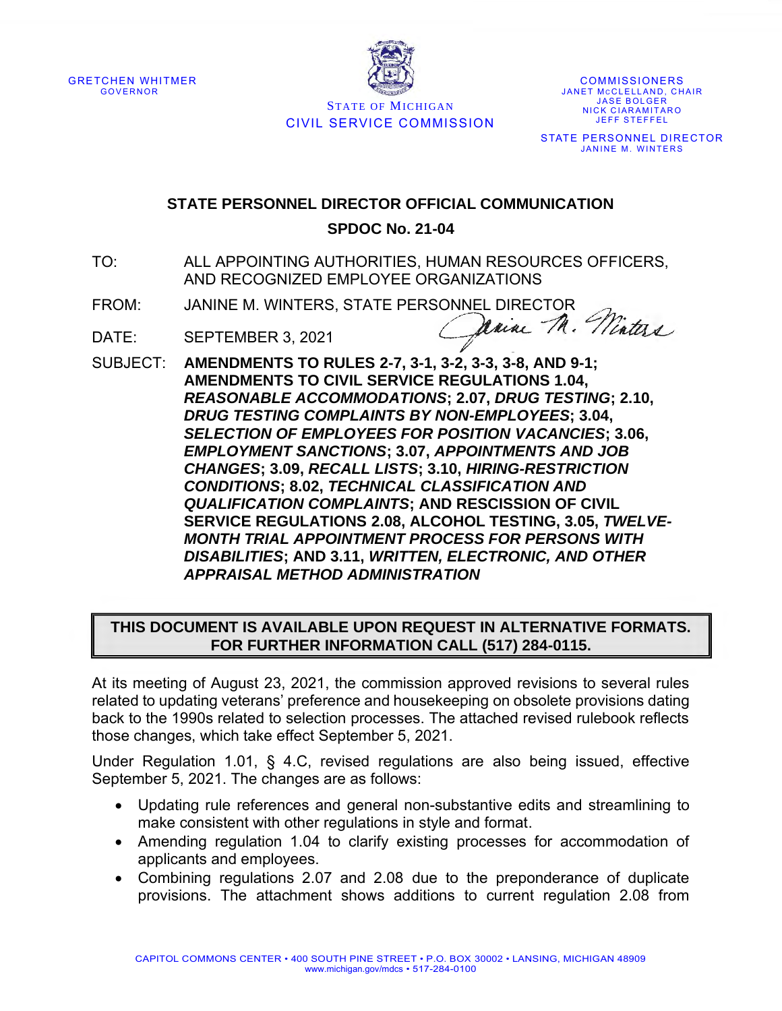



COMMISSIONERS JANET MCCLELLAND, CHAIR **JASE BOLGER** NICK CIARAMITARO **JEFF STEFFEL** 

STATE PERSONNEL DIRECTOR **JANINE M. WINTERS** 

## **STATE PERSONNEL DIRECTOR OFFICIAL COMMUNICATION**

## **SPDOC No. 21-04**

- TO: ALL APPOINTING AUTHORITIES, HUMAN RESOURCES OFFICERS, AND RECOGNIZED EMPLOYEE ORGANIZATIONS
- FROM: JANINE M. WINTERS, STATE PERSONNEL DIRECTOR<br>DATE: SEDTEMPER 2 2001

- DATE: SEPTEMBER 3, 2021
- SUBJECT: **AMENDMENTS TO RULES 2-7, 3-1, 3-2, 3-3, 3-8, AND 9-1; AMENDMENTS TO CIVIL SERVICE REGULATIONS 1.04,**  *REASONABLE ACCOMMODATIONS***; 2.07,** *DRUG TESTING***; 2.10,**  *DRUG TESTING COMPLAINTS BY NON-EMPLOYEES***; 3.04,**  *SELECTION OF EMPLOYEES FOR POSITION VACANCIES***; 3.06,**  *EMPLOYMENT SANCTIONS***; 3.07,** *APPOINTMENTS AND JOB CHANGES***; 3.09,** *RECALL LISTS***; 3.10,** *HIRING-RESTRICTION CONDITIONS***; 8.02,** *TECHNICAL CLASSIFICATION AND QUALIFICATION COMPLAINTS***; AND RESCISSION OF CIVIL SERVICE REGULATIONS 2.08, ALCOHOL TESTING, 3.05,** *TWELVE-MONTH TRIAL APPOINTMENT PROCESS FOR PERSONS WITH DISABILITIES***; AND 3.11,** *WRITTEN, ELECTRONIC, AND OTHER APPRAISAL METHOD ADMINISTRATION*

## **THIS DOCUMENT IS AVAILABLE UPON REQUEST IN ALTERNATIVE FORMATS. FOR FURTHER INFORMATION CALL (517) 284-0115.**

At its meeting of August 23, 2021, the commission approved revisions to several rules related to updating veterans' preference and housekeeping on obsolete provisions dating back to the 1990s related to selection processes. The attached revised rulebook reflects those changes, which take effect September 5, 2021.

Under Regulation 1.01, § 4.C, revised regulations are also being issued, effective September 5, 2021. The changes are as follows:

- Updating rule references and general non-substantive edits and streamlining to make consistent with other regulations in style and format.
- Amending regulation 1.04 to clarify existing processes for accommodation of applicants and employees.
- Combining regulations 2.07 and 2.08 due to the preponderance of duplicate provisions. The attachment shows additions to current regulation 2.08 from